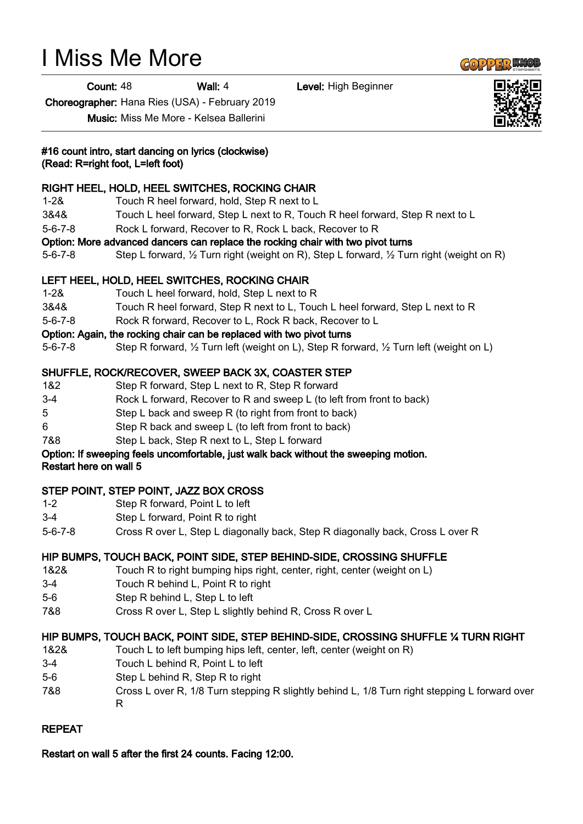# I Miss Me More

**Count: 48 Wall: 4 Level: High Beginner** 

Choreographer: Hana Ries (USA) - February 2019

Music: Miss Me More - Kelsea Ballerini

# #16 count intro, start dancing on lyrics (clockwise)

(Read: R=right foot, L=left foot)

# RIGHT HEEL, HOLD, HEEL SWITCHES, ROCKING CHAIR

- 1-2& Touch R heel forward, hold, Step R next to L
- 3&4& Touch L heel forward, Step L next to R, Touch R heel forward, Step R next to L
- 5-6-7-8 Rock L forward, Recover to R, Rock L back, Recover to R

# Option: More advanced dancers can replace the rocking chair with two pivot turns

5-6-7-8 Step L forward, ½ Turn right (weight on R), Step L forward, ½ Turn right (weight on R)

# LEFT HEEL, HOLD, HEEL SWITCHES, ROCKING CHAIR

- 1-2& Touch L heel forward, hold, Step L next to R
- 3&4& Touch R heel forward, Step R next to L, Touch L heel forward, Step L next to R
- 5-6-7-8 Rock R forward, Recover to L, Rock R back, Recover to L

# Option: Again, the rocking chair can be replaced with two pivot turns

5-6-7-8 Step R forward, ½ Turn left (weight on L), Step R forward, ½ Turn left (weight on L)

# SHUFFLE, ROCK/RECOVER, SWEEP BACK 3X, COASTER STEP

- 1&2 Step R forward, Step L next to R, Step R forward
- 3-4 Rock L forward, Recover to R and sweep L (to left from front to back)
- 5 Step L back and sweep R (to right from front to back)
- 6 Step R back and sweep L (to left from front to back)
- 7&8 Step L back, Step R next to L, Step L forward

#### Option: If sweeping feels uncomfortable, just walk back without the sweeping motion. Restart here on wall 5

# STEP POINT, STEP POINT, JAZZ BOX CROSS

- 1-2 Step R forward, Point L to left
- 3-4 Step L forward, Point R to right
- 5-6-7-8 Cross R over L, Step L diagonally back, Step R diagonally back, Cross L over R

# HIP BUMPS, TOUCH BACK, POINT SIDE, STEP BEHIND-SIDE, CROSSING SHUFFLE

- 1&2& Touch R to right bumping hips right, center, right, center (weight on L)
- 3-4 Touch R behind L, Point R to right
- 5-6 Step R behind L, Step L to left
- 7&8 Cross R over L, Step L slightly behind R, Cross R over L

# HIP BUMPS, TOUCH BACK, POINT SIDE, STEP BEHIND-SIDE, CROSSING SHUFFLE ¼ TURN RIGHT

- 1&2& Touch L to left bumping hips left, center, left, center (weight on R)
- 3-4 Touch L behind R, Point L to left
- 5-6 Step L behind R, Step R to right
- 7&8 Cross L over R, 1/8 Turn stepping R slightly behind L, 1/8 Turn right stepping L forward over R

# REPEAT

# Restart on wall 5 after the first 24 counts. Facing 12:00.